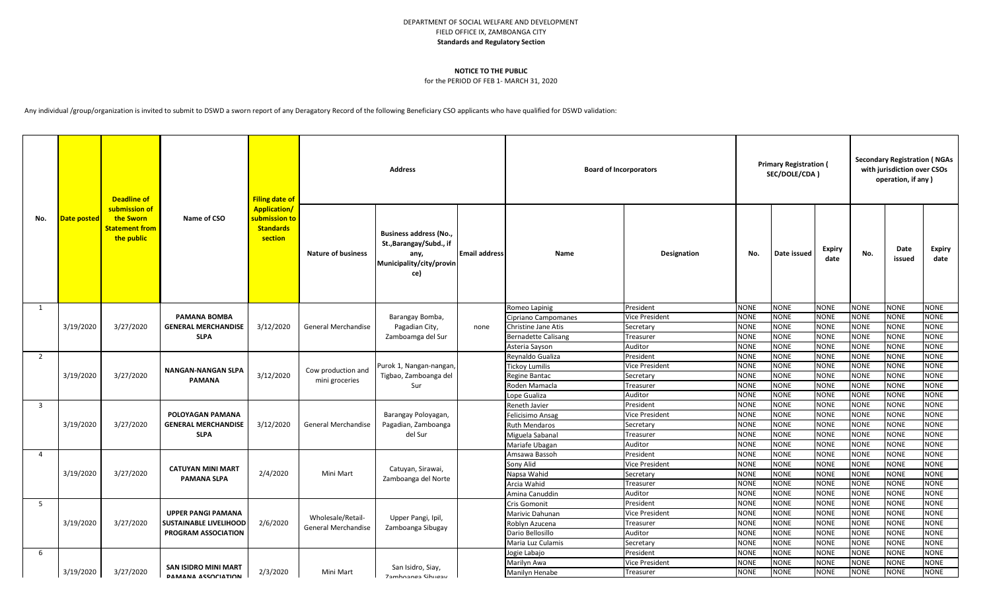## DEPARTMENT OF SOCIAL WELFARE AND DEVELOPMENT FIELD OFFICE IX, ZAMBOANGA CITY **Standards and Regulatory Section**

## **NOTICE TO THE PUBLIC**

## for the PERIOD OF FEB 1- MARCH 31, 2020

Any individual /group/organization is invited to submit to DSWD a sworn report of any Deragatory Record of the following Beneficiary CSO applicants who have qualified for DSWD validation:

| No.            | Date posted | <b>Deadline of</b><br>submission of<br>the Sworn<br><b>Statement from</b><br>the public | Name of CSO                                                                       | <b>Filing date of</b><br><b>Application/</b><br><mark>submission to</mark><br><b>Standards</b><br>section | <b>Address</b>                           |                                                                                                     |                      | <b>Board of Incorporators</b>   |                       |                            | <b>Primary Registration (</b><br>SEC/DOLE/CDA) |                            |                     | <b>Secondary Registration (NGAs</b><br>with jurisdiction over CSOs<br>operation, if any) |                            |  |
|----------------|-------------|-----------------------------------------------------------------------------------------|-----------------------------------------------------------------------------------|-----------------------------------------------------------------------------------------------------------|------------------------------------------|-----------------------------------------------------------------------------------------------------|----------------------|---------------------------------|-----------------------|----------------------------|------------------------------------------------|----------------------------|---------------------|------------------------------------------------------------------------------------------|----------------------------|--|
|                |             |                                                                                         |                                                                                   |                                                                                                           | <b>Nature of business</b>                | <b>Business address (No.,</b><br>St., Barangay/Subd., if<br>any,<br>Municipality/city/provin<br>ce) | <b>Email address</b> | Name                            | Designation           | No.                        | Date issued                                    | <b>Expiry</b><br>date      | No.                 | Date<br>issued                                                                           | Expiry<br>date             |  |
| 1              |             |                                                                                         | <b>PAMANA BOMBA</b><br><b>GENERAL MERCHANDISE</b><br><b>SLPA</b>                  | 3/12/2020                                                                                                 |                                          | Barangay Bomba,<br>Pagadian City,<br>Zamboamga del Sur                                              | none                 | Romeo Lapinig                   | President             | <b>NONE</b>                | <b>NONE</b>                                    | <b>NONE</b>                | <b>NONE</b>         | <b>NONE</b>                                                                              | <b>NONE</b>                |  |
|                |             | 3/27/2020                                                                               |                                                                                   |                                                                                                           | General Merchandise                      |                                                                                                     |                      | Cipriano Campomanes             | Vice President        | <b>NONE</b>                | <b>NONE</b>                                    | <b>NONE</b>                | NONE                | <b>NONE</b>                                                                              | <b>NONE</b>                |  |
|                | 3/19/2020   |                                                                                         |                                                                                   |                                                                                                           |                                          |                                                                                                     |                      | <b>Christine Jane Atis</b>      | Secretary             | <b>NONE</b>                | <b>NONE</b>                                    | <b>NONE</b>                | <b>NONE</b>         | <b>NONE</b>                                                                              | <b>NONE</b>                |  |
|                |             |                                                                                         |                                                                                   |                                                                                                           |                                          |                                                                                                     |                      | <b>Bernadette Calisang</b>      | Treasurer             | <b>NONE</b>                | <b>NONE</b>                                    | <b>NONE</b>                | <b>NONE</b>         | <b>NONE</b>                                                                              | <b>NONE</b>                |  |
|                |             |                                                                                         |                                                                                   |                                                                                                           |                                          |                                                                                                     |                      | Asteria Sayson                  | Auditor               | <b>NONE</b>                | <b>NONE</b>                                    | <b>NONE</b>                | <b>NONE</b>         | <b>NONE</b>                                                                              | <b>NONE</b>                |  |
| $\overline{2}$ |             |                                                                                         | <b>NANGAN-NANGAN SLPA</b>                                                         | 3/12/2020                                                                                                 | Cow production and<br>mini groceries     | Purok 1, Nangan-nangan<br>Tigbao, Zamboanga del<br>Sur                                              |                      | Reynaldo Gualiza                | President             | <b>NONE</b>                | <b>NONE</b>                                    | <b>NONE</b>                | NONE                | <b>NONE</b>                                                                              | <b>NONE</b>                |  |
|                |             |                                                                                         |                                                                                   |                                                                                                           |                                          |                                                                                                     |                      | <b>Tickoy Lumilis</b>           | <b>Vice President</b> | <b>NONE</b>                | <b>NONE</b>                                    | <b>NONE</b>                | <b>NONE</b>         | <b>NONE</b>                                                                              | <b>NONE</b>                |  |
|                | 3/19/2020   | 3/27/2020                                                                               | <b>PAMANA</b>                                                                     |                                                                                                           |                                          |                                                                                                     |                      | Regine Bantac                   | Secretary             | <b>NONE</b>                | <b>NONE</b>                                    | <b>NONE</b>                | <b>NONE</b>         | <b>NONE</b>                                                                              | <b>NONE</b>                |  |
|                |             |                                                                                         |                                                                                   |                                                                                                           |                                          |                                                                                                     |                      | Roden Mamacla                   | Treasurer             | <b>NONE</b>                | <b>NONE</b>                                    | <b>NONE</b>                | <b>NONE</b>         | <b>NONE</b>                                                                              | <b>NONE</b>                |  |
|                |             |                                                                                         |                                                                                   |                                                                                                           |                                          |                                                                                                     |                      | Lope Gualiza                    | Auditor               | <b>NONE</b>                | <b>NONE</b>                                    | <b>NONE</b>                | <b>NONE</b>         | <b>NONE</b>                                                                              | <b>NONE</b>                |  |
| 3              |             |                                                                                         | POLOYAGAN PAMANA<br><b>GENERAL MERCHANDISE</b><br><b>SLPA</b>                     | 3/12/2020                                                                                                 | General Merchandise                      | Barangay Poloyagan,<br>Pagadian, Zamboanga<br>del Sur                                               |                      | Reneth Javier                   | President             | <b>NONE</b>                | <b>NONE</b>                                    | <b>NONE</b>                | <b>NONE</b>         | <b>NONE</b>                                                                              | <b>NONE</b>                |  |
|                |             | 3/27/2020                                                                               |                                                                                   |                                                                                                           |                                          |                                                                                                     |                      | Felicisimo Ansag                | Vice President        | <b>NONE</b>                | <b>NONE</b>                                    | <b>NONE</b>                | <b>NONE</b>         | <b>NONE</b>                                                                              | <b>NONE</b>                |  |
|                | 3/19/2020   |                                                                                         |                                                                                   |                                                                                                           |                                          |                                                                                                     |                      | <b>Ruth Mendaros</b>            | Secretary             | <b>NONE</b>                | <b>NONE</b><br><b>NONE</b>                     | <b>NONE</b>                | <b>NONE</b>         | <b>NONE</b>                                                                              | <b>NONE</b><br><b>NONE</b> |  |
|                |             |                                                                                         |                                                                                   |                                                                                                           |                                          |                                                                                                     |                      | Miguela Sabanal                 | Treasurer             | <b>NONE</b>                | <b>NONE</b>                                    | <b>NONE</b>                | <b>NONE</b>         | <b>NONE</b><br><b>NONE</b>                                                               | <b>NONE</b>                |  |
| $\overline{4}$ |             |                                                                                         |                                                                                   |                                                                                                           |                                          |                                                                                                     |                      | Mariafe Ubagan<br>Amsawa Bassoh | Auditor<br>President  | <b>NONE</b><br><b>NONE</b> | <b>NONE</b>                                    | <b>NONE</b><br><b>NONE</b> | NONE<br><b>NONE</b> | <b>NONE</b>                                                                              | <b>NONE</b>                |  |
|                |             | 3/27/2020                                                                               | <b>CATUYAN MINI MART</b><br><b>PAMANA SLPA</b>                                    | 2/4/2020                                                                                                  | Mini Mart                                | Catuyan, Sirawai,<br>Zamboanga del Norte                                                            |                      | Sony Alid                       | Vice President        | <b>NONE</b>                | <b>NONE</b>                                    | <b>NONE</b>                | <b>NONE</b>         | <b>NONE</b>                                                                              | <b>NONE</b>                |  |
|                | 3/19/2020   |                                                                                         |                                                                                   |                                                                                                           |                                          |                                                                                                     |                      | Napsa Wahid                     | Secretary             | <b>NONE</b>                | <b>NONE</b>                                    | <b>NONE</b>                | <b>NONE</b>         | <b>NONE</b>                                                                              | <b>NONE</b>                |  |
|                |             |                                                                                         |                                                                                   |                                                                                                           |                                          |                                                                                                     |                      | Arcia Wahid                     | Treasurer             | <b>NONE</b>                | <b>NONE</b>                                    | <b>NONE</b>                | <b>NONE</b>         | <b>NONE</b>                                                                              | <b>NONE</b>                |  |
|                |             |                                                                                         |                                                                                   |                                                                                                           |                                          |                                                                                                     |                      | Amina Canuddin                  | Auditor               | <b>NONE</b>                | <b>NONE</b>                                    | <b>NONE</b>                | <b>NONE</b>         | <b>NONE</b>                                                                              | <b>NONE</b>                |  |
| - 5            |             |                                                                                         |                                                                                   |                                                                                                           |                                          |                                                                                                     |                      | Cris Gomonit                    | President             | <b>NONE</b>                | <b>NONE</b>                                    | <b>NONE</b>                | <b>NONE</b>         | <b>NONE</b>                                                                              | <b>NONE</b>                |  |
|                |             | 3/27/2020                                                                               | <b>UPPER PANGI PAMANA</b><br><b>SUSTAINABLE LIVELIHOOD</b><br>PROGRAM ASSOCIATION | 2/6/2020                                                                                                  | Wholesale/Retail-<br>General Merchandise | Upper Pangi, Ipil,<br>Zamboanga Sibugay                                                             |                      | Marivic Dahunan                 | <b>Vice President</b> | <b>NONE</b>                | <b>NONE</b>                                    | <b>NONE</b>                | <b>NONE</b>         | <b>NONE</b>                                                                              | <b>NONE</b>                |  |
|                | 3/19/2020   |                                                                                         |                                                                                   |                                                                                                           |                                          |                                                                                                     |                      | Roblyn Azucena                  | Treasurer             | <b>NONE</b>                | <b>NONE</b>                                    | <b>NONE</b>                | <b>NONE</b>         | <b>NONE</b>                                                                              | <b>NONE</b>                |  |
|                |             |                                                                                         |                                                                                   |                                                                                                           |                                          |                                                                                                     |                      | Dario Bellosillo                | Auditor               | <b>NONE</b>                | <b>NONE</b>                                    | <b>NONE</b>                | <b>NONE</b>         | <b>NONE</b>                                                                              | <b>NONE</b>                |  |
|                |             |                                                                                         |                                                                                   |                                                                                                           |                                          |                                                                                                     |                      | Maria Luz Culamis               | Secretary             | <b>NONE</b>                | <b>NONE</b>                                    | <b>NONE</b>                | <b>NONE</b>         | <b>NONE</b>                                                                              | <b>NONE</b>                |  |
| 6              |             |                                                                                         | <b>SAN ISIDRO MINI MART</b><br><b>DAMANA ASSOCIATION</b>                          | 2/3/2020                                                                                                  | Mini Mart                                | San Isidro, Siay,<br><b>Zamhoanga Sihugay</b>                                                       |                      | Jogie Labajo                    | President             | <b>NONE</b>                | <b>NONE</b>                                    | <b>NONE</b>                | <b>NONE</b>         | <b>NONE</b>                                                                              | <b>NONE</b>                |  |
|                |             |                                                                                         |                                                                                   |                                                                                                           |                                          |                                                                                                     |                      | Marilyn Awa                     | <b>Vice President</b> | <b>NONE</b>                | <b>NONE</b>                                    | <b>NONE</b>                | NONE                | NONE                                                                                     | <b>NONE</b>                |  |
|                | 3/19/2020   | 3/27/2020                                                                               |                                                                                   |                                                                                                           |                                          |                                                                                                     |                      | Manilyn Henabe                  | Treasurer             | <b>NONE</b>                | <b>NONE</b>                                    | <b>NONE</b>                | <b>NONE</b>         | <b>NONE</b>                                                                              | <b>NONE</b>                |  |